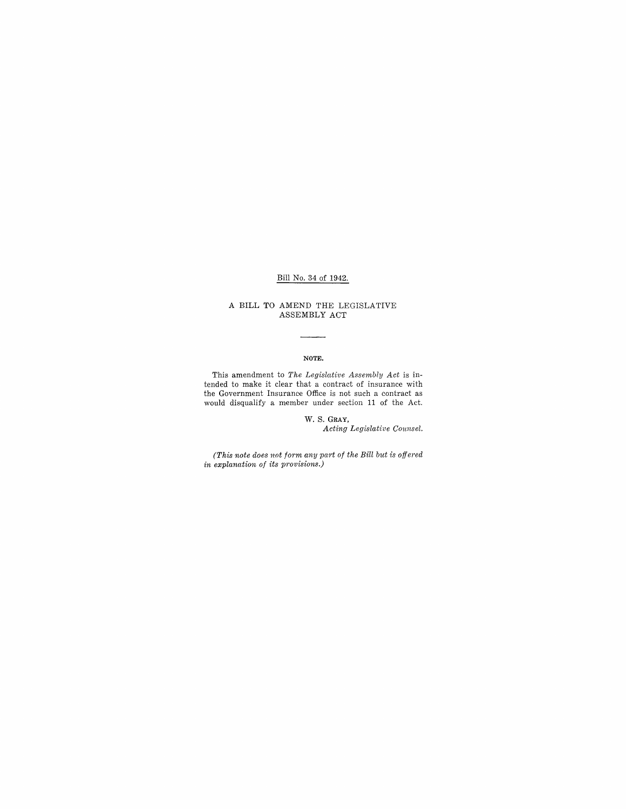## Bill No. 34 of 1942.

### A BILL TO AMEND THE LEGISLATIVE ASSEMBLY ACT

#### NOTE.

 $\overline{\phantom{a}}$ 

This amendment to *The Legislative Assembly Act* is intended to make it clear that a contract of insurance with the Government Insurance Office is not such a contract as would disqualify a member under section 11 of the Act.

> W. S. GRAY, *Acting Legislative Counsel.*

*(This note does not form any part of the Bill but is offered in explanation of its provisions.)*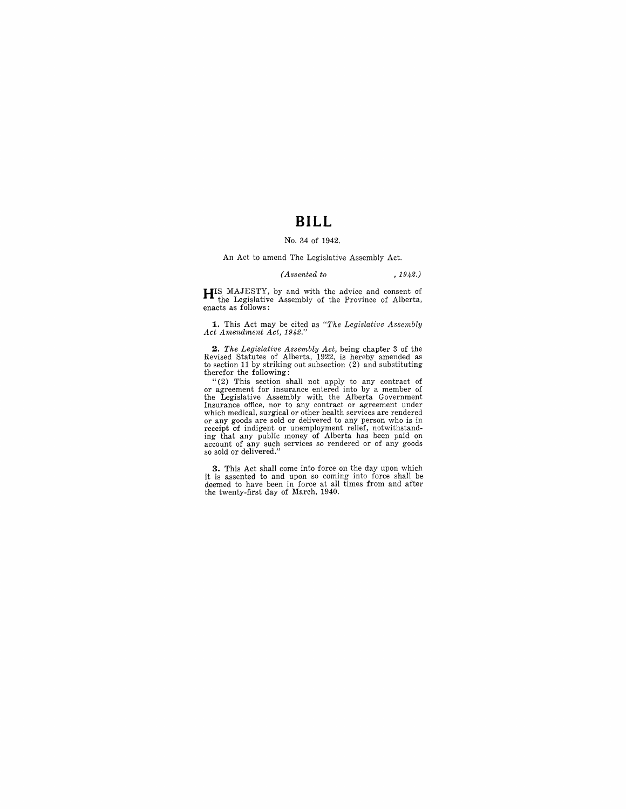## **BILL**

#### No. 34 of 1942.

An Act to amend The Legislative Assembly Act.

#### *(Assented to* , 1942.)

**HIS** MAJESTY, by and with the advice and consent of the Legislative Assembly of the Province of Alberta, enacts as follows:

**1.** This Act may be cited as "The Legislative Assembly Act Amendment Act, 1942."

**2.** *The Legislative Assembly Act,* being chapter 3 of the Revised Statutes of Alberta, 1922, is hereby amended as to section 11 by striking out subsection (2) and substituting therefor the following:

"(2) This section shall not apply to any contract of or agreement for insurance entered into by a member of the Legislative Assembly with the Alberta Government Insurance office, nor to any contract or agreement under<br>which medical, surgical or other health services are rendered which medical, surgical or other health services are rendered<br>or any goods are sold or delivered to any person who is in<br>receipt of indigent or unemployment relief, notwithstand-<br>ing that any public money of Alberta has be

**3.** This Act shall come into force on the day upon which it is assented to and upon so coming into force shall be deemed to have been in force at all times from and after the twenty-first day of March, 1940.